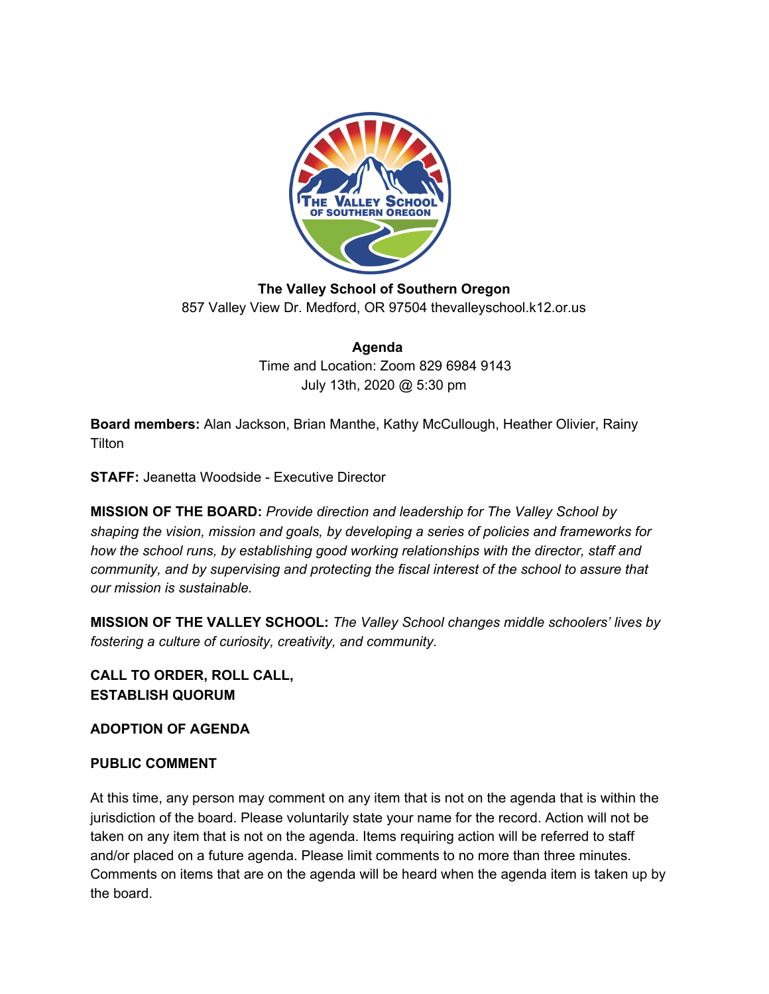

**The Valley School of Southern Oregon** 857 Valley View Dr. Medford, OR 97504 thevalleyschool.k12.or.us

> **Agenda** Time and Location: Zoom 829 6984 9143 July 13th, 2020 @ 5:30 pm

**Board members:** Alan Jackson, Brian Manthe, Kathy McCullough, Heather Olivier, Rainy **Tilton** 

**STAFF:** Jeanetta Woodside - Executive Director

**MISSION OF THE BOARD:** *Provide direction and leadership for The Valley School by shaping the vision, mission and goals, by developing a series of policies and frameworks for how the school runs, by establishing good working relationships with the director, staff and community, and by supervising and protecting the fiscal interest of the school to assure that our mission is sustainable.*

**MISSION OF THE VALLEY SCHOOL:** *The Valley School changes middle schoolers' lives by fostering a culture of curiosity, creativity, and community.*

**CALL TO ORDER, ROLL CALL, ESTABLISH QUORUM**

**ADOPTION OF AGENDA**

## **PUBLIC COMMENT**

At this time, any person may comment on any item that is not on the agenda that is within the jurisdiction of the board. Please voluntarily state your name for the record. Action will not be taken on any item that is not on the agenda. Items requiring action will be referred to staff and/or placed on a future agenda. Please limit comments to no more than three minutes. Comments on items that are on the agenda will be heard when the agenda item is taken up by the board.